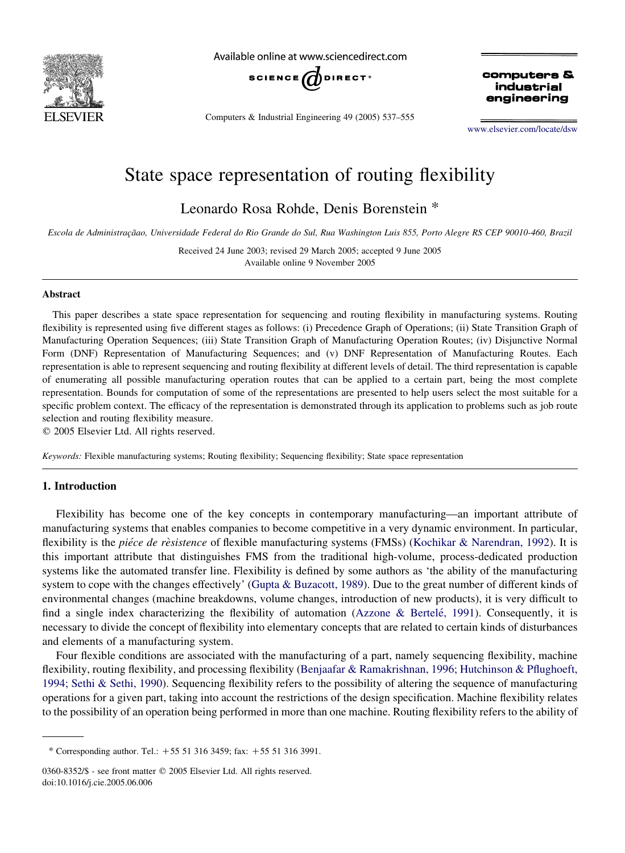

Available online at www.sciencedirect.com



Computers & Industrial Engineering 49 (2005) 537–555

computers & industrial engineering

[www.elsevier.com/locate/dsw](http://www.elsevier.com/locate/dsw)

## State space representation of routing flexibility

Leonardo Rosa Rohde, Denis Borenstein \*

Escola de Administraçãao, Universidade Federal do Rio Grande do Sul, Rua Washington Luis 855, Porto Alegre RS CEP 90010-460, Brazil

Received 24 June 2003; revised 29 March 2005; accepted 9 June 2005 Available online 9 November 2005

## Abstract

This paper describes a state space representation for sequencing and routing flexibility in manufacturing systems. Routing flexibility is represented using five different stages as follows: (i) Precedence Graph of Operations; (ii) State Transition Graph of Manufacturing Operation Sequences; (iii) State Transition Graph of Manufacturing Operation Routes; (iv) Disjunctive Normal Form (DNF) Representation of Manufacturing Sequences; and (v) DNF Representation of Manufacturing Routes. Each representation is able to represent sequencing and routing flexibility at different levels of detail. The third representation is capable of enumerating all possible manufacturing operation routes that can be applied to a certain part, being the most complete representation. Bounds for computation of some of the representations are presented to help users select the most suitable for a specific problem context. The efficacy of the representation is demonstrated through its application to problems such as job route selection and routing flexibility measure.

 $© 2005 Elsevier Ltd. All rights reserved.$ 

Keywords: Flexible manufacturing systems; Routing flexibility; Sequencing flexibility; State space representation

## 1. Introduction

Flexibility has become one of the key concepts in contemporary manufacturing—an important attribute of manufacturing systems that enables companies to become competitive in a very dynamic environment. In particular, flexibility is the *piéce de rèsistence* of flexible manufacturing systems (FMSs) ([Kochikar & Narendran, 1992\)](#page--1-0). It is this important attribute that distinguishes FMS from the traditional high-volume, process-dedicated production systems like the automated transfer line. Flexibility is defined by some authors as 'the ability of the manufacturing system to cope with the changes effectively' [\(Gupta & Buzacott, 1989\)](#page--1-0). Due to the great number of different kinds of environmental changes (machine breakdowns, volume changes, introduction of new products), it is very difficult to find a single index characterizing the flexibility of automation (Azzone & Bertelé, 1991). Consequently, it is necessary to divide the concept of flexibility into elementary concepts that are related to certain kinds of disturbances and elements of a manufacturing system.

Four flexible conditions are associated with the manufacturing of a part, namely sequencing flexibility, machine flexibility, routing flexibility, and processing flexibility ([Benjaafar & Ramakrishnan, 1996; Hutchinson & Pflughoeft,](#page--1-0) [1994; Sethi & Sethi, 1990](#page--1-0)). Sequencing flexibility refers to the possibility of altering the sequence of manufacturing operations for a given part, taking into account the restrictions of the design specification. Machine flexibility relates to the possibility of an operation being performed in more than one machine. Routing flexibility refers to the ability of

\* Corresponding author. Tel.:  $+55$  51 316 3459; fax:  $+55$  51 316 3991.

0360-8352/\$ - see front matter © 2005 Elsevier Ltd. All rights reserved. doi:10.1016/j.cie.2005.06.006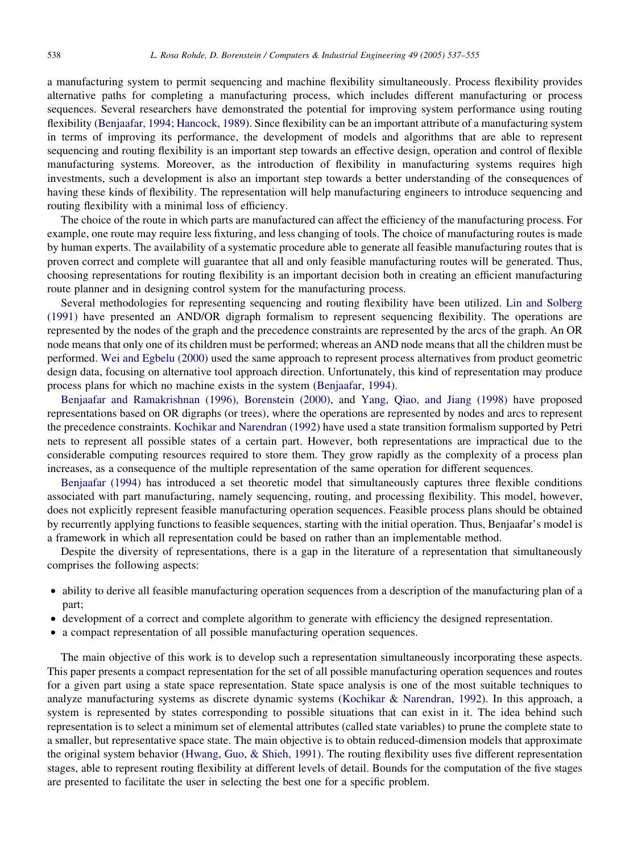a manufacturing system to permit sequencing and machine flexibility simultaneously. Process flexibility provides alternative paths for completing a manufacturing process, which includes different manufacturing or process sequences. Several researchers have demonstrated the potential for improving system performance using routing flexibility [\(Benjaafar, 1994; Hancock, 1989\)](#page--1-0). Since flexibility can be an important attribute of a manufacturing system in terms of improving its performance, the development of models and algorithms that are able to represent sequencing and routing flexibility is an important step towards an effective design, operation and control of flexible manufacturing systems. Moreover, as the introduction of flexibility in manufacturing systems requires high investments, such a development is also an important step towards a better understanding of the consequences of having these kinds of flexibility. The representation will help manufacturing engineers to introduce sequencing and routing flexibility with a minimal loss of efficiency.

The choice of the route in which parts are manufactured can affect the efficiency of the manufacturing process. For example, one route may require less fixturing, and less changing of tools. The choice of manufacturing routes is made by human experts. The availability of a systematic procedure able to generate all feasible manufacturing routes that is proven correct and complete will guarantee that all and only feasible manufacturing routes will be generated. Thus, choosing representations for routing flexibility is an important decision both in creating an efficient manufacturing route planner and in designing control system for the manufacturing process.

Several methodologies for representing sequencing and routing flexibility have been utilized. [Lin and Solberg](#page--1-0) [\(1991\)](#page--1-0) have presented an AND/OR digraph formalism to represent sequencing flexibility. The operations are represented by the nodes of the graph and the precedence constraints are represented by the arcs of the graph. An OR node means that only one of its children must be performed; whereas an AND node means that all the children must be performed. [Wei and Egbelu \(2000\)](#page--1-0) used the same approach to represent process alternatives from product geometric design data, focusing on alternative tool approach direction. Unfortunately, this kind of representation may produce process plans for which no machine exists in the system [\(Benjaafar, 1994\)](#page--1-0).

[Benjaafar and Ramakrishnan \(1996\), Borenstein \(2000\),](#page--1-0) and [Yang, Qiao, and Jiang \(1998\)](#page--1-0) have proposed representations based on OR digraphs (or trees), where the operations are represented by nodes and arcs to represent the precedence constraints. [Kochikar and Narendran \(1992\)](#page--1-0) have used a state transition formalism supported by Petri nets to represent all possible states of a certain part. However, both representations are impractical due to the considerable computing resources required to store them. They grow rapidly as the complexity of a process plan increases, as a consequence of the multiple representation of the same operation for different sequences.

[Benjaafar \(1994\)](#page--1-0) has introduced a set theoretic model that simultaneously captures three flexible conditions associated with part manufacturing, namely sequencing, routing, and processing flexibility. This model, however, does not explicitly represent feasible manufacturing operation sequences. Feasible process plans should be obtained by recurrently applying functions to feasible sequences, starting with the initial operation. Thus, Benjaafar's model is a framework in which all representation could be based on rather than an implementable method.

Despite the diversity of representations, there is a gap in the literature of a representation that simultaneously comprises the following aspects:

- ability to derive all feasible manufacturing operation sequences from a description of the manufacturing plan of a part;
- † development of a correct and complete algorithm to generate with efficiency the designed representation.
- † a compact representation of all possible manufacturing operation sequences.

The main objective of this work is to develop such a representation simultaneously incorporating these aspects. This paper presents a compact representation for the set of all possible manufacturing operation sequences and routes for a given part using a state space representation. State space analysis is one of the most suitable techniques to analyze manufacturing systems as discrete dynamic systems [\(Kochikar & Narendran, 1992\)](#page--1-0). In this approach, a system is represented by states corresponding to possible situations that can exist in it. The idea behind such representation is to select a minimum set of elemental attributes (called state variables) to prune the complete state to a smaller, but representative space state. The main objective is to obtain reduced-dimension models that approximate the original system behavior ([Hwang, Guo, & Shieh, 1991](#page--1-0)). The routing flexibility uses five different representation stages, able to represent routing flexibility at different levels of detail. Bounds for the computation of the five stages are presented to facilitate the user in selecting the best one for a specific problem.